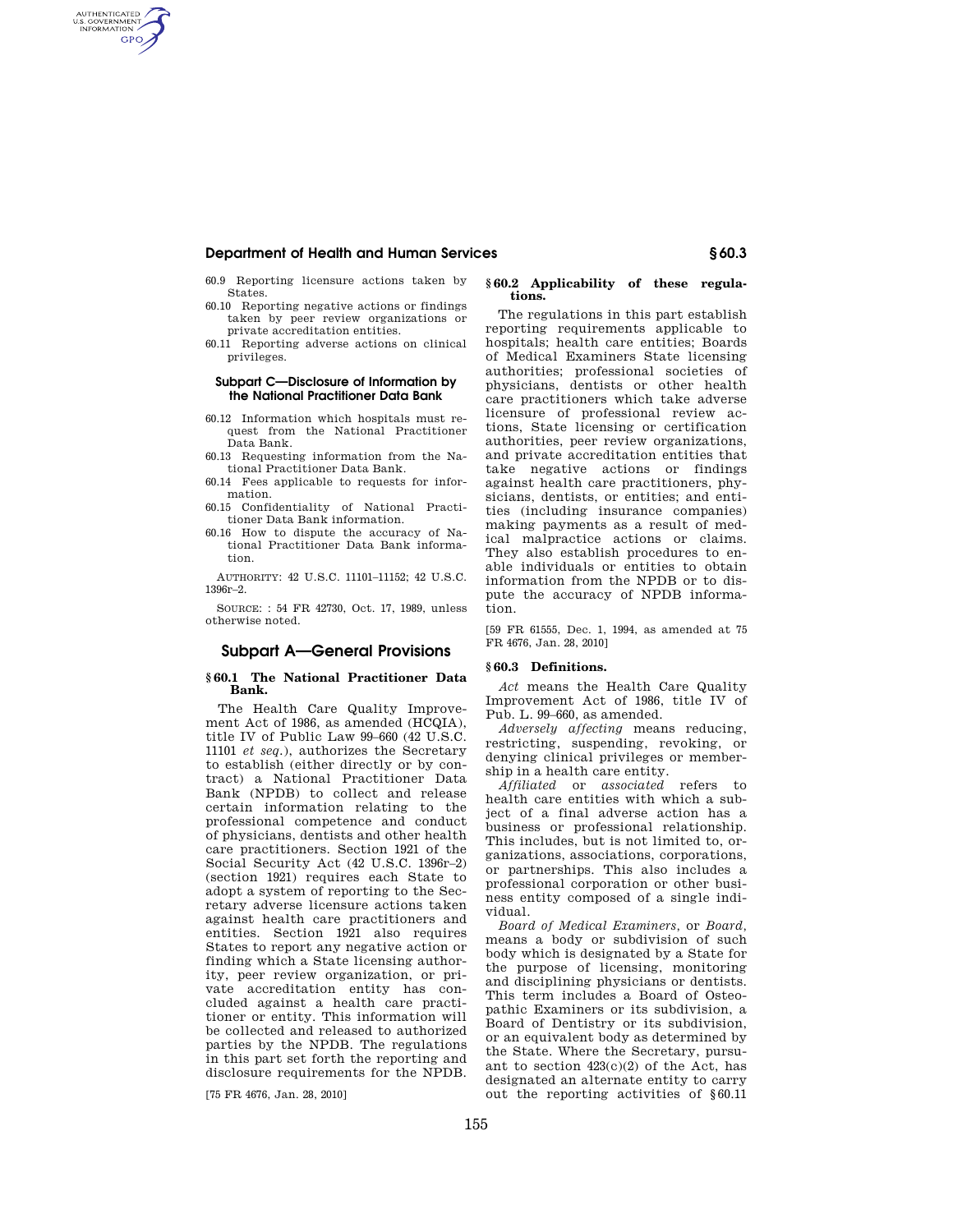# **Department of Health and Human Services § 60.3**

60.9 Reporting licensure actions taken by States.

AUTHENTICATED<br>U.S. GOVERNMENT<br>INFORMATION **GPO** 

- 60.10 Reporting negative actions or findings taken by peer review organizations or private accreditation entities.
- 60.11 Reporting adverse actions on clinical privileges.

## **Subpart C—Disclosure of Information by the National Practitioner Data Bank**

- 60.12 Information which hospitals must request from the National Practitioner Data Bank.
- 60.13 Requesting information from the National Practitioner Data Bank.
- 60.14 Fees applicable to requests for information.
- 60.15 Confidentiality of National Practitioner Data Bank information.
- 60.16 How to dispute the accuracy of National Practitioner Data Bank information.

AUTHORITY: 42 U.S.C. 11101–11152; 42 U.S.C. 1396r–2.

SOURCE: : 54 FR 42730, Oct. 17, 1989, unless otherwise noted.

## **Subpart A—General Provisions**

## **§ 60.1 The National Practitioner Data Bank.**

The Health Care Quality Improvement Act of 1986, as amended (HCQIA), title IV of Public Law 99–660 (42 U.S.C. 11101 *et seq.*), authorizes the Secretary to establish (either directly or by contract) a National Practitioner Data Bank (NPDB) to collect and release certain information relating to the professional competence and conduct of physicians, dentists and other health care practitioners. Section 1921 of the Social Security Act (42 U.S.C. 1396r–2) (section 1921) requires each State to adopt a system of reporting to the Secretary adverse licensure actions taken against health care practitioners and entities. Section 1921 also requires States to report any negative action or finding which a State licensing authority, peer review organization, or private accreditation entity has concluded against a health care practitioner or entity. This information will be collected and released to authorized parties by the NPDB. The regulations in this part set forth the reporting and disclosure requirements for the NPDB.

[75 FR 4676, Jan. 28, 2010]

## **§ 60.2 Applicability of these regulations.**

The regulations in this part establish reporting requirements applicable to hospitals; health care entities; Boards of Medical Examiners State licensing authorities; professional societies of physicians, dentists or other health care practitioners which take adverse licensure of professional review actions, State licensing or certification authorities, peer review organizations, and private accreditation entities that take negative actions or findings against health care practitioners, physicians, dentists, or entities; and entities (including insurance companies) making payments as a result of medical malpractice actions or claims. They also establish procedures to enable individuals or entities to obtain information from the NPDB or to dispute the accuracy of NPDB information.

[59 FR 61555, Dec. 1, 1994, as amended at 75 FR 4676, Jan. 28, 2010]

## **§ 60.3 Definitions.**

*Act* means the Health Care Quality Improvement Act of 1986, title IV of Pub. L. 99–660, as amended.

*Adversely affecting* means reducing, restricting, suspending, revoking, or denying clinical privileges or membership in a health care entity.

*Affiliated* or *associated* refers to health care entities with which a subject of a final adverse action has a business or professional relationship. This includes, but is not limited to, organizations, associations, corporations, or partnerships. This also includes a professional corporation or other business entity composed of a single individual.

*Board of Medical Examiners,* or *Board,*  means a body or subdivision of such body which is designated by a State for the purpose of licensing, monitoring and disciplining physicians or dentists. This term includes a Board of Osteopathic Examiners or its subdivision, a Board of Dentistry or its subdivision, or an equivalent body as determined by the State. Where the Secretary, pursuant to section  $423(c)(2)$  of the Act, has designated an alternate entity to carry out the reporting activities of §60.11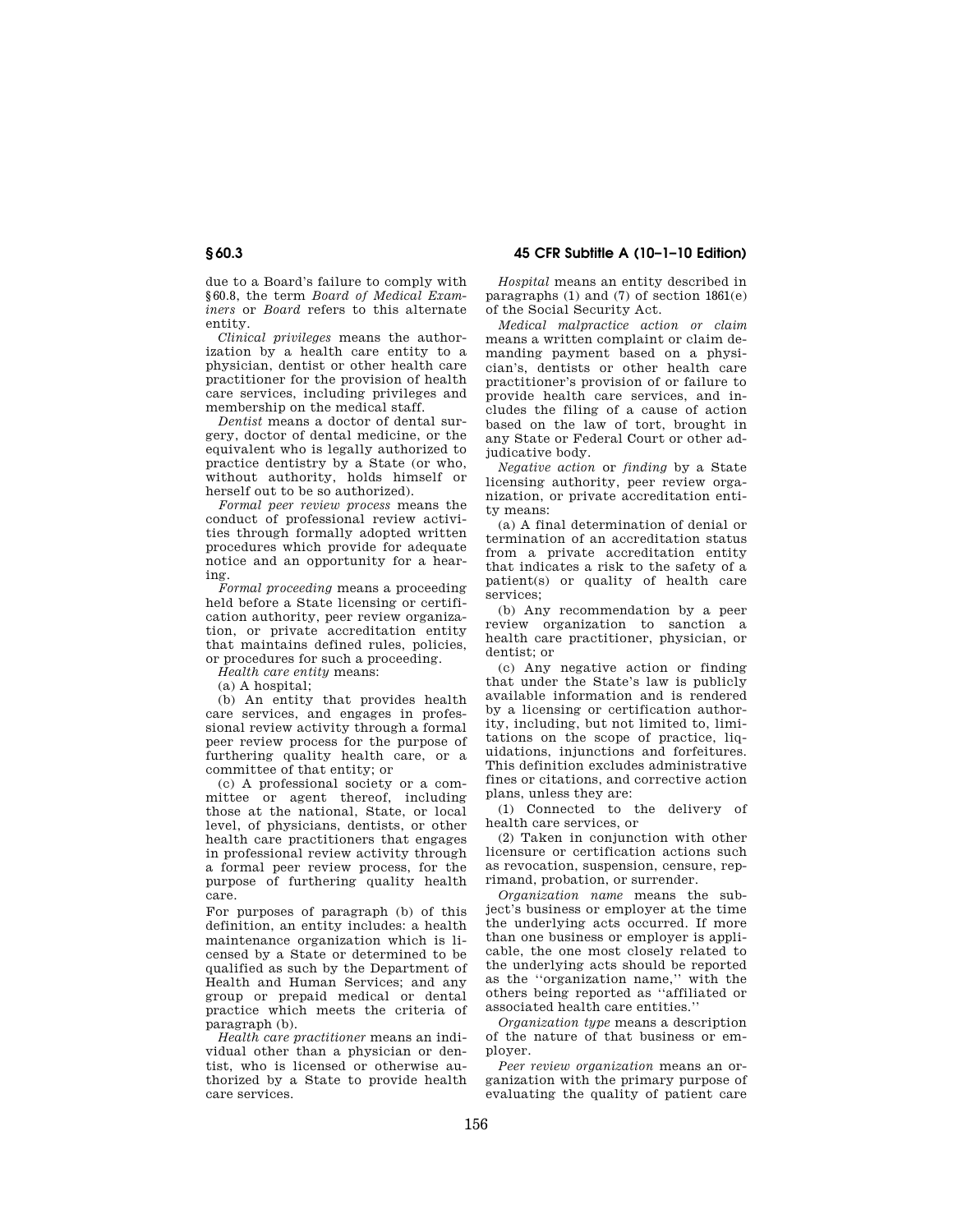due to a Board's failure to comply with §60.8, the term *Board of Medical Examiners* or *Board* refers to this alternate entity.

*Clinical privileges* means the authorization by a health care entity to a physician, dentist or other health care practitioner for the provision of health care services, including privileges and membership on the medical staff.

*Dentist* means a doctor of dental surgery, doctor of dental medicine, or the equivalent who is legally authorized to practice dentistry by a State (or who, without authority, holds himself or herself out to be so authorized).

*Formal peer review process* means the conduct of professional review activities through formally adopted written procedures which provide for adequate notice and an opportunity for a hearing.

*Formal proceeding* means a proceeding held before a State licensing or certification authority, peer review organization, or private accreditation entity that maintains defined rules, policies, or procedures for such a proceeding.

*Health care entity* means:

(a) A hospital;

(b) An entity that provides health care services, and engages in professional review activity through a formal peer review process for the purpose of furthering quality health care, or a committee of that entity; or

(c) A professional society or a committee or agent thereof, including those at the national, State, or local level, of physicians, dentists, or other health care practitioners that engages in professional review activity through a formal peer review process, for the purpose of furthering quality health care.

For purposes of paragraph (b) of this definition, an entity includes: a health maintenance organization which is licensed by a State or determined to be qualified as such by the Department of Health and Human Services; and any group or prepaid medical or dental practice which meets the criteria of paragraph (b).

*Health care practitioner* means an individual other than a physician or dentist, who is licensed or otherwise authorized by a State to provide health care services.

*Hospital* means an entity described in paragraphs  $(1)$  and  $(7)$  of section  $1861(e)$ of the Social Security Act.

*Medical malpractice action or claim*  means a written complaint or claim demanding payment based on a physician's, dentists or other health care practitioner's provision of or failure to provide health care services, and includes the filing of a cause of action based on the law of tort, brought in any State or Federal Court or other adjudicative body.

*Negative action* or *finding* by a State licensing authority, peer review organization, or private accreditation entity means:

(a) A final determination of denial or termination of an accreditation status from a private accreditation entity that indicates a risk to the safety of a patient(s) or quality of health care services;

(b) Any recommendation by a peer review organization to sanction a health care practitioner, physician, or dentist; or

(c) Any negative action or finding that under the State's law is publicly available information and is rendered by a licensing or certification authority, including, but not limited to, limitations on the scope of practice, liquidations, injunctions and forfeitures. This definition excludes administrative fines or citations, and corrective action plans, unless they are:

(1) Connected to the delivery of health care services, or

(2) Taken in conjunction with other licensure or certification actions such as revocation, suspension, censure, reprimand, probation, or surrender.

*Organization name* means the subject's business or employer at the time the underlying acts occurred. If more than one business or employer is applicable, the one most closely related to the underlying acts should be reported as the ''organization name,'' with the others being reported as ''affiliated or associated health care entities.''

*Organization type* means a description of the nature of that business or employer.

*Peer review organization* means an organization with the primary purpose of evaluating the quality of patient care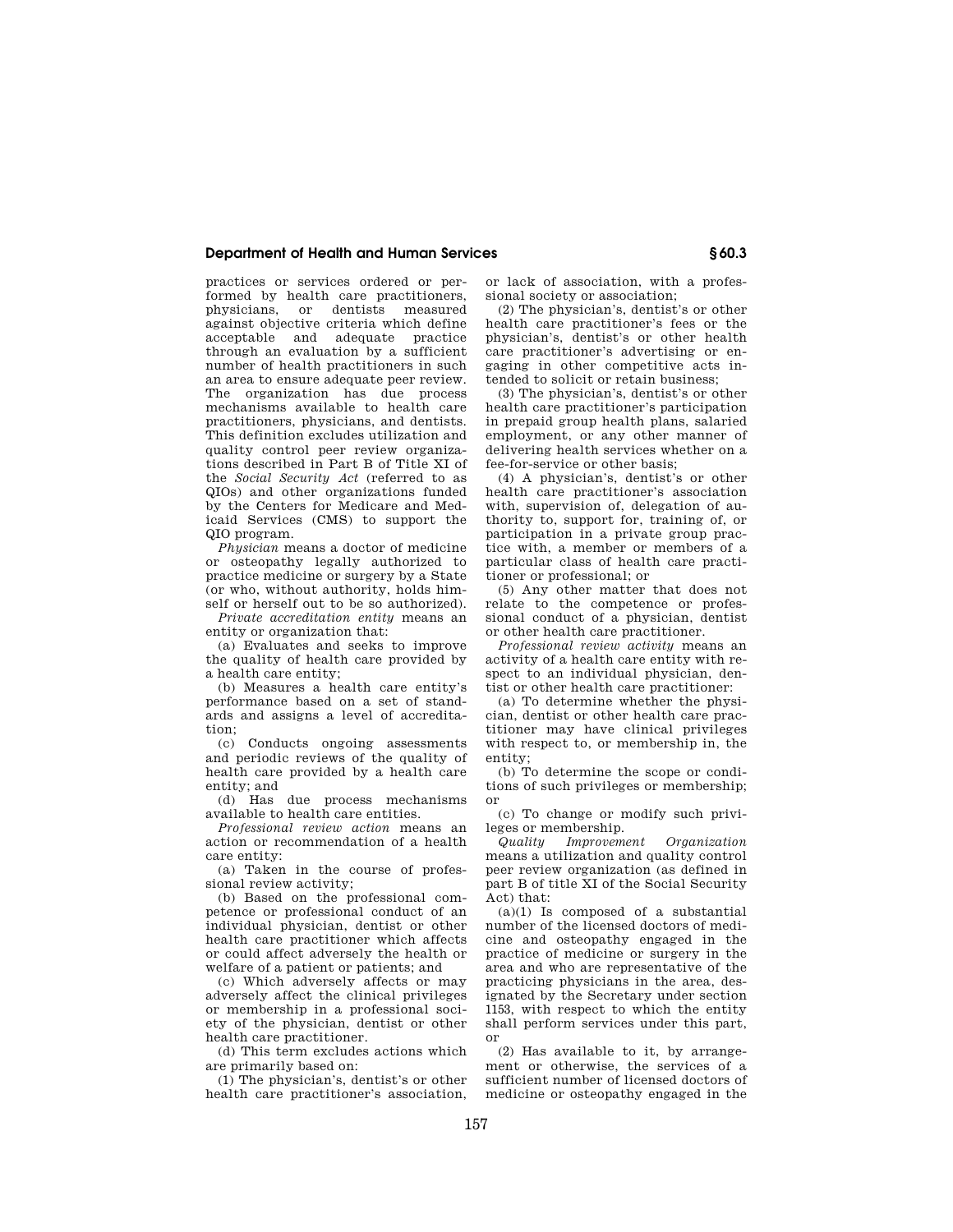## **Department of Health and Human Services § 60.3**

practices or services ordered or performed by health care practitioners, physicians, or dentists measured against objective criteria which define acceptable and adequate practice through an evaluation by a sufficient number of health practitioners in such an area to ensure adequate peer review. The organization has due process mechanisms available to health care practitioners, physicians, and dentists. This definition excludes utilization and quality control peer review organizations described in Part B of Title XI of the *Social Security Act* (referred to as QIOs) and other organizations funded by the Centers for Medicare and Medicaid Services (CMS) to support the QIO program.

*Physician* means a doctor of medicine or osteopathy legally authorized to practice medicine or surgery by a State (or who, without authority, holds himself or herself out to be so authorized).

*Private accreditation entity* means an entity or organization that:

(a) Evaluates and seeks to improve the quality of health care provided by a health care entity;

(b) Measures a health care entity's performance based on a set of standards and assigns a level of accreditation;

(c) Conducts ongoing assessments and periodic reviews of the quality of health care provided by a health care entity; and

(d) Has due process mechanisms available to health care entities.

*Professional review action* means an action or recommendation of a health care entity:

(a) Taken in the course of professional review activity;

(b) Based on the professional competence or professional conduct of an individual physician, dentist or other health care practitioner which affects or could affect adversely the health or welfare of a patient or patients; and

(c) Which adversely affects or may adversely affect the clinical privileges or membership in a professional society of the physician, dentist or other health care practitioner.

(d) This term excludes actions which are primarily based on:

(1) The physician's, dentist's or other health care practitioner's association,

or lack of association, with a professional society or association;

(2) The physician's, dentist's or other health care practitioner's fees or the physician's, dentist's or other health care practitioner's advertising or engaging in other competitive acts intended to solicit or retain business;

(3) The physician's, dentist's or other health care practitioner's participation in prepaid group health plans, salaried employment, or any other manner of delivering health services whether on a fee-for-service or other basis;

(4) A physician's, dentist's or other health care practitioner's association with, supervision of, delegation of authority to, support for, training of, or participation in a private group practice with, a member or members of a particular class of health care practitioner or professional; or

(5) Any other matter that does not relate to the competence or professional conduct of a physician, dentist or other health care practitioner.

*Professional review activity* means an activity of a health care entity with respect to an individual physician, dentist or other health care practitioner:

(a) To determine whether the physician, dentist or other health care practitioner may have clinical privileges with respect to, or membership in, the entity;

(b) To determine the scope or conditions of such privileges or membership; or

(c) To change or modify such privileges or membership.

*Quality Improvement Organization*  means a utilization and quality control peer review organization (as defined in part B of title XI of the Social Security Act) that:

 $(a)(1)$  Is composed of a substantial number of the licensed doctors of medicine and osteopathy engaged in the practice of medicine or surgery in the area and who are representative of the practicing physicians in the area, designated by the Secretary under section 1153, with respect to which the entity shall perform services under this part, or

(2) Has available to it, by arrangement or otherwise, the services of a sufficient number of licensed doctors of medicine or osteopathy engaged in the